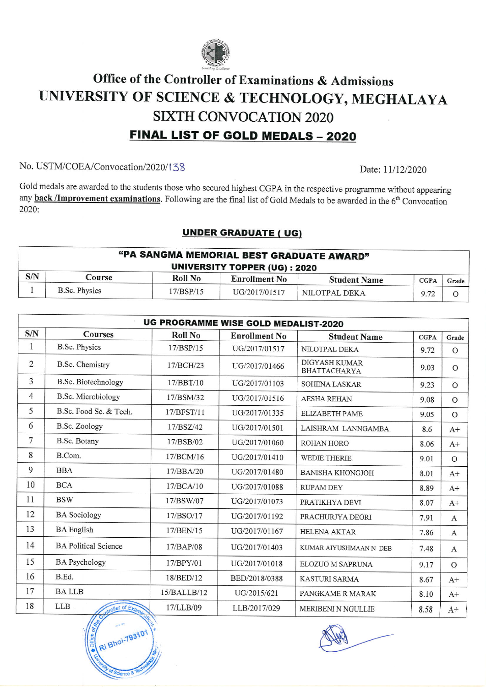

## Office of the Controller of Examinations & Admissions UNTVERSITY OF SCIENCE & TECIINOLOGY, MEGHALAYA SIXTH CONVOCATION 2020 FINAL LIST OF GOLD MEDALS - 2020

## No. USTM/COEA/Convocation/2020/138 Date: 11/12/2020

Gold medals are awarded to the students those who secured highest CGPA in the respective programme without appearing any **back /Improvement examinations**. Following are the final list of Gold Medals to be awarded in the  $6<sup>th</sup>$  Convocation 2020:

## UNDER GRADUATE ( UG)

| "PA SANGMA MEMORIAL BEST GRADUATE AWARD" |                                      |           |                      |                     |             |       |  |  |
|------------------------------------------|--------------------------------------|-----------|----------------------|---------------------|-------------|-------|--|--|
|                                          | <b>UNIVERSITY TOPPER (UG) : 2020</b> |           |                      |                     |             |       |  |  |
| S/N                                      | Course                               | Roll No   | <b>Enrollment No</b> | <b>Student Name</b> | <b>CGPA</b> | Grade |  |  |
|                                          | <b>B.Sc. Physics</b>                 | 17/BSP/15 | UG/2017/01517        | NILOTPAL DEKA       | 9.72        |       |  |  |

| <b>UG PROGRAMME WISE GOLD MEDALIST-2020</b> |                                |                |                      |                                      |             |               |  |  |
|---------------------------------------------|--------------------------------|----------------|----------------------|--------------------------------------|-------------|---------------|--|--|
| S/N                                         | <b>Courses</b>                 | <b>Roll No</b> | <b>Enrollment No</b> | <b>Student Name</b>                  | <b>CGPA</b> | Grade         |  |  |
| 1                                           | <b>B.Sc. Physics</b>           | 17/BSP/15      | UG/2017/01517        | NILOTPAL DEKA                        | 9.72        | $\mathcal{O}$ |  |  |
| $\overline{2}$                              | <b>B.Sc. Chemistry</b>         | 17/BCH/23      | UG/2017/01466        | DIGYASH KUMAR<br><b>BHATTACHARYA</b> | 9.03        | $\mathbf{O}$  |  |  |
| 3                                           | B.Sc. Biotechnology            | 17/BBT/10      | UG/2017/01103        | <b>SOHENA LASKAR</b>                 | 9.23        | $\Omega$      |  |  |
| 4                                           | B.Sc. Microbiology             | 17/BSM/32      | UG/2017/01516        | <b>AESHA REHAN</b>                   | 9.08        | $\mathcal{O}$ |  |  |
| 5                                           | B.Sc. Food Sc. & Tech.         | 17/BFST/11     | UG/2017/01335        | <b>ELIZABETH PAME</b>                | 9.05        | $\mathbf{O}$  |  |  |
| 6                                           | B.Sc. Zoology                  | 17/BSZ/42      | UG/2017/01501        | LAISHRAM LANNGAMBA                   | 8.6         | $A+$          |  |  |
| 7                                           | B.Sc. Botany                   | 17/BSB/02      | UG/2017/01060        | <b>ROHAN HORO</b>                    | 8.06        | $A+$          |  |  |
| 8                                           | B.Com.                         | 17/BCM/16      | UG/2017/01410        | <b>WEDIE THERIE</b>                  | 9.01        | $\circ$       |  |  |
| 9                                           | <b>BBA</b>                     | 17/BBA/20      | UG/2017/01480        | <b>BANISHA KHONGJOH</b>              | 8.01        | $A+$          |  |  |
| 10                                          | <b>BCA</b>                     | 17/BCA/10      | UG/2017/01088        | <b>RUPAM DEY</b>                     | 8.89        | $A+$          |  |  |
| 11                                          | <b>BSW</b>                     | 17/BSW/07      | UG/2017/01073        | PRATIKHYA DEVI                       | 8.07        | $A+$          |  |  |
| 12                                          | <b>BA</b> Sociology            | 17/BSO/17      | UG/2017/01192        | PRACHURJYA DEORI                     | 7.91        | A             |  |  |
| 13                                          | <b>BA</b> English              | 17/BEN/15      | UG/2017/01167        | <b>HELENA AKTAR</b>                  | 7.86        | $\mathbf{A}$  |  |  |
| 14                                          | <b>BA Political Science</b>    | 17/BAP/08      | UG/2017/01403        | KUMAR AIYUSHMAAN N DEB               | 7.48        | A             |  |  |
| 15                                          | <b>BA Psychology</b>           | 17/BPY/01      | UG/2017/01018        | ELOZUO M SAPRUNA                     | 9.17        | $\mathcal{O}$ |  |  |
| 16                                          | B.Ed.                          | 18/BED/12      | BED/2018/0388        | <b>KASTURI SARMA</b>                 | 8.67        | $A+$          |  |  |
| 17                                          | <b>BALLB</b>                   | 15/BALLB/12    | UG/2015/621          | PANGKAME R MARAK                     | 8.10        | $A+$          |  |  |
| 18                                          | <b>LLB</b><br>potroller of Exa | 17/LLB/09      | LLB/2017/029         | <b>MERIBENI N NGULLIE</b>            | 8.58        | $A+$          |  |  |

**ft xflice** RI Bhot-793101